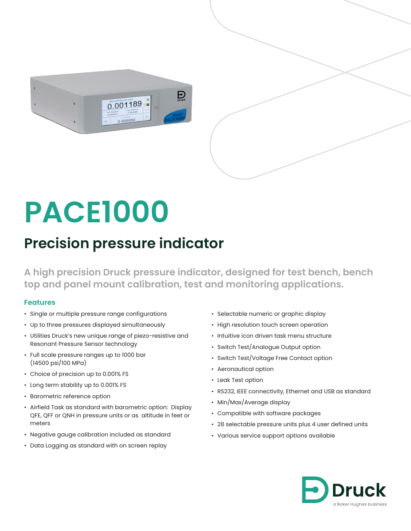

# **PACE1000**

# **Precision pressure indicator**

**A high precision Druck pressure indicator, designed for test bench, bench top and panel mount calibration, test and monitoring applications.**

#### **Features**

- Single or multiple pressure range configurations
- Up to three pressures displayed simultaneously
- Utilities Druck's new unique range of piezo-resistive and Resonant Pressure Sensor technology
- Full scale pressure ranges up to 1000 bar (14500 psi/100 MPa)
- Choice of precision up to 0.001% FS
- Long term stability up to 0.001% FS
- Barometric reference option
- Airfield Task as standard with barometric option: Display QFE, QFF or QNH in pressure units or as altitude in feet or meters
- Negative gauge calibration included as standard
- Data Logging as standard with on screen replay
- Selectable numeric or graphic display
- High resolution touch screen operation
- Intuitive icon driven task menu structure
- Switch Test/Analogue Output option
- Switch Test/Voltage Free Contact option
- Aeronautical option
- Leak Test option
- RS232, IEEE connectivity, Ethernet and USB as standard
- Min/Max/Average display
- Compatible with software packages
- 28 selectable pressure units plus 4 user defined units
- Various service support options available

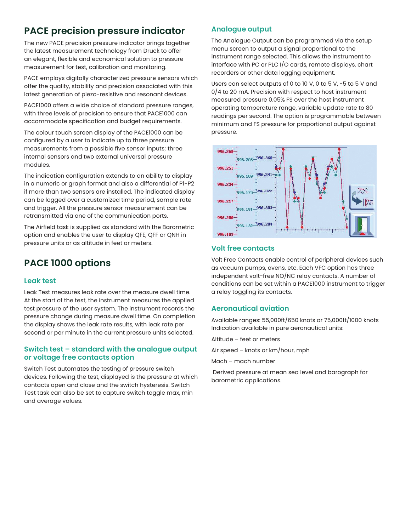## **PACE precision pressure indicator**

The new PACE precision pressure indicator brings together the latest measurement technology from Druck to offer an elegant, flexible and economical solution to pressure measurement for test, calibration and monitoring.

PACE employs digitally characterized pressure sensors which offer the quality, stability and precision associated with this latest generation of piezo-resistive and resonant devices.

PACE1000 offers a wide choice of standard pressure ranges, with three levels of precision to ensure that PACE1000 can accommodate specification and budget requirements.

The colour touch screen display of the PACE1000 can be configured by a user to indicate up to three pressure measurements from a possible five sensor inputs; three internal sensors and two external universal pressure modules.

The indication configuration extends to an ability to display in a numeric or graph format and also a differential of P1-P2 if more than two sensors are installed. The indicated display can be logged over a customized time period, sample rate and trigger. All the pressure sensor measurement can be retransmitted via one of the communication ports.

The Airfield task is supplied as standard with the Barometric option and enables the user to display QFE, QFF or QNH in pressure units or as altitude in feet or meters.

# **PACE 1000 options**

#### **Leak test**

Leak Test measures leak rate over the measure dwell time. At the start of the test, the instrument measures the applied test pressure of the user system. The instrument records the pressure change during measure dwell time. On completion the display shows the leak rate results, with leak rate per second or per minute in the current pressure units selected.

#### **Switch test – standard with the analogue output or voltage free contacts option**

Switch Test automates the testing of pressure switch devices. Following the test, displayed is the pressure at which contacts open and close and the switch hysteresis. Switch Test task can also be set to capture switch toggle max, min and average values.

#### **Analogue output**

The Analogue Output can be programmed via the setup menu screen to output a signal proportional to the instrument range selected. This allows the instrument to interface with PC or PLC I/O cards, remote displays, chart recorders or other data logging equipment.

Users can select outputs of 0 to 10 V, 0 to 5 V, -5 to 5 V and 0/4 to 20 mA. Precision with respect to host instrument measured pressure 0.05% FS over the host instrument operating temperature range, variable update rate to 80 readings per second. The option is programmable between minimum and FS pressure for proportional output against pressure.



#### **Volt free contacts**

Volt Free Contacts enable control of peripheral devices such as vacuum pumps, ovens, etc. Each VFC option has three independent volt-free NO/NC relay contacts. A number of conditions can be set within a PACE1000 instrument to trigger a relay toggling its contacts.

#### **Aeronautical aviation**

Available ranges: 55,000ft/650 knots or 75,000ft/1000 knots Indication available in pure aeronautical units:

Altitude – feet or meters

Air speed – knots or km/hour, mph

Mach – mach number

 Derived pressure at mean sea level and barograph for barometric applications.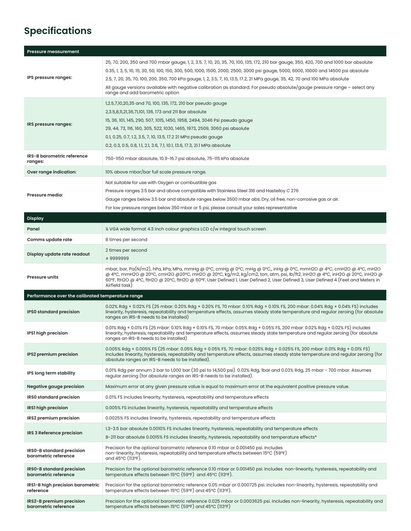# **Specifications**

| <b>Pressure measurement</b>                       |                                                                                                                                                                                                                                                                                                                                                                                                                                                                                                                                                                              |  |  |
|---------------------------------------------------|------------------------------------------------------------------------------------------------------------------------------------------------------------------------------------------------------------------------------------------------------------------------------------------------------------------------------------------------------------------------------------------------------------------------------------------------------------------------------------------------------------------------------------------------------------------------------|--|--|
| IPS pressure ranges:                              | 25, 70, 200, 350 and 700 mbar gauge, 1, 2, 3.5, 7, 10, 20, 35, 70, 100, 135, 172, 210 bar gauge, 350, 420, 700 and 1000 bar absolute<br>0.35, 1, 3, 5, 10, 15, 30, 50, 100, 150, 300, 500, 1000, 1500, 2000, 2500, 3000 psi gauge, 5000, 6000, 10000 and 14500 psi absolute<br>2.5, 7, 20, 35, 70, 100, 200, 350, 700 kPa gauge, 1, 2, 3.5, 7, 10, 13.5, 17.2, 21 MPa gauge, 35, 42, 70 and 100 MPa absolute<br>All gauge versions available with negative calibration as standard. For pseudo absolute/gauge pressure range - select any<br>range and add barometric option |  |  |
| IRS pressure ranges:                              | 1,2.5,7,10,20,35 and 70, 100, 135, 172, 210 bar pseudo gauge<br>2,3.5,8,11,21,36,71,101, 136, 173 and 211 Bar absolute<br>15, 36, 101, 145, 290, 507, 1015, 1450, 1958, 2494, 3046 Psi pseudo gauge<br>29, 44, 73, 116, 160, 305, 522, 1030, 1465, 1973, 2509, 3060 psi absolute<br>0.1, 0.25, 0.7, 1.2, 3.5, 7, 10, 13.5, 17.2 21 MPa pseudo gauge<br>0.2, 0.3, 0.5, 0.8, 1.1, 2.1, 3.6, 7.1, 10.1, 13.6, 17.3, 21.1 MPa absolute                                                                                                                                           |  |  |
| IRS-B barometric reference<br>ranges:             | 750-1150 mbar absolute, 10.9-16.7 psi absolute, 75-115 kPa absolute                                                                                                                                                                                                                                                                                                                                                                                                                                                                                                          |  |  |
| Over range indication:                            | 10% above mbar/bar full scale pressure range.                                                                                                                                                                                                                                                                                                                                                                                                                                                                                                                                |  |  |
| Pressure media:                                   | Not suitable for use with Oxygen or combustible gas<br>Pressure ranges 3.5 bar and above compatible with Stainless Steel 316 and Hastelloy C 276<br>Gauge ranges below 3.5 bar and absolute ranges below 3500 mbar abs: Dry, oil free, non-corrosive gas or air.<br>For low pressure ranges below 350 mbar or 5 psi, please consult your sales representative                                                                                                                                                                                                                |  |  |
| <b>Display</b>                                    |                                                                                                                                                                                                                                                                                                                                                                                                                                                                                                                                                                              |  |  |
| Panel                                             | 1/4 VGA wide format 4.3 inch colour graphics LCD c/w integral touch screen                                                                                                                                                                                                                                                                                                                                                                                                                                                                                                   |  |  |
| Comms update rate                                 | 8 times per second                                                                                                                                                                                                                                                                                                                                                                                                                                                                                                                                                           |  |  |
| Display update rate readout                       | 2 times per second<br>± 9999999                                                                                                                                                                                                                                                                                                                                                                                                                                                                                                                                              |  |  |
| <b>Pressure units</b>                             | mbar, bar, Pa(N/m2), hPa, kPa, MPa, mmHg @ 0°C, cmHg @ 0°C, mHg @ 0°C, inHg @ 0°C, mmH2O @ 4°C, cmH2O @ 4°C, mH2O<br>@ 4°C, mmH2O @ 20°C, cmH2O @20°C, mH2O @ 20°C, kg/m2, kg/cm2, torr, atm, psi, lb/ft2, inH2O @ 4°C, inH2O @ 20°C, inH2O @<br>60°F, ftH2O @ 4°C, ftH2O @ 20°C, ftH2O @ 60°F, User Defined 1, User Defined 2, User Defined 3, User Defined 4 (Feet and Meters in<br>Airfield task)                                                                                                                                                                         |  |  |
| Performance over the calibrated temperature range |                                                                                                                                                                                                                                                                                                                                                                                                                                                                                                                                                                              |  |  |
| <b>IPSO</b> standard precision                    | 0.02% Rdg + 0.02% FS (25 mbar: 0.20% Rdg + 0.20% FS, 70 mbar: 0.10% Rdg + 0.10% FS, 200 mbar: 0.04% Rdg + 0.04% FS) includes<br>linearity, hysteresis, repeatability and temperature effects, assumes steady state temperature and regular zeroing (for absolute<br>ranges an IRS-B needs to be installed)                                                                                                                                                                                                                                                                   |  |  |
| IPS1 high precision                               | 0.01% Rdg + 0.01% FS (25 mbar: 0.10% Rdg + 0.10% FS, 70 mbar: 0.05% Rdg + 0.05% FS, 200 mbar: 0.02% Rdg + 0.02% FS) includes<br>linearity, hysteresis, repeatability and temperature effects, assumes steady state temperature and regular zeroing (for absolute<br>ranges an IRS-B needs to be installed)                                                                                                                                                                                                                                                                   |  |  |
| IPS2 premium precision                            | 0.005% Rdg + 0.005% FS (25 mbar: 0.05% Rdg + 0.05% FS, 70 mbar: 0.025% Rdg + 0.025% FS, 200 mbar: 0.01% Rdg + 0.01% FS)<br>includes linearity, hysteresis, repeatability and temperature effects, assumes steady state temperature and regular zeroing (for<br>absolute ranges an IRS-B needs to be installed).                                                                                                                                                                                                                                                              |  |  |
| IPS long term stability                           | 0.01% Rdg per annum 2 bar to 1,000 bar (30 psi to 14,500 psi). 0.02% Rdg, 1bar and 0.03% Rdg, 25 mbar - 700 mbar. Assumes<br>regular zeroing (for absolute ranges an IRS-B needs to be installed).                                                                                                                                                                                                                                                                                                                                                                           |  |  |
| Negative gauge precision                          | Maximum error at any given pressure value is equal to maximum error at the equivalent positive pressure value.                                                                                                                                                                                                                                                                                                                                                                                                                                                               |  |  |
| IRS0 standard precision                           | 0.01% FS includes linearity, hysteresis, repeatability and temperature effects                                                                                                                                                                                                                                                                                                                                                                                                                                                                                               |  |  |
| IRS1 high precision                               | 0.005% FS includes linearity, hysteresis, repeatability and temperature effects                                                                                                                                                                                                                                                                                                                                                                                                                                                                                              |  |  |
| IRS2 premium precision                            |                                                                                                                                                                                                                                                                                                                                                                                                                                                                                                                                                                              |  |  |
|                                                   | 0.0025% FS includes linearity, hysteresis, repeatability and temperature effects                                                                                                                                                                                                                                                                                                                                                                                                                                                                                             |  |  |
| IRS 3 Reference precision                         | 1.3-3.5 bar absolute 0.0010% FS includes linearity, hysteresis, repeatability and temperature effects<br>8-211 bar absolute 0.0015% FS includes linearity, hysteresis, repeatability and temperature effects*                                                                                                                                                                                                                                                                                                                                                                |  |  |
| IRS0-B standard precision<br>barometric reference | Precision for the optional barometric reference 0.10 mbar or 0.001450 psi. Includes<br>non-linearity, hysteresis, repeatability and temperature effects between 15°C (59°F)<br>and 45°C (113°F).                                                                                                                                                                                                                                                                                                                                                                             |  |  |
| IRS0-B standard precision<br>barometric reference | Precision for the optional barometric reference 0.10 mbar or 0.001450 psi. Includes non-linearity, hysteresis, repeatability and<br>temperature effects between $15^{\circ}$ C (59°F) and 45°C (113°F).                                                                                                                                                                                                                                                                                                                                                                      |  |  |
| IRS1-B high precision barometric<br>reference     | Precision for the optional barometric reference 0.05 mbar or 0.000725 psi. Includes non-linearity, hysteresis, repeatability and<br>temperature effects between 15°C (59°F) and 45°C (113°F).                                                                                                                                                                                                                                                                                                                                                                                |  |  |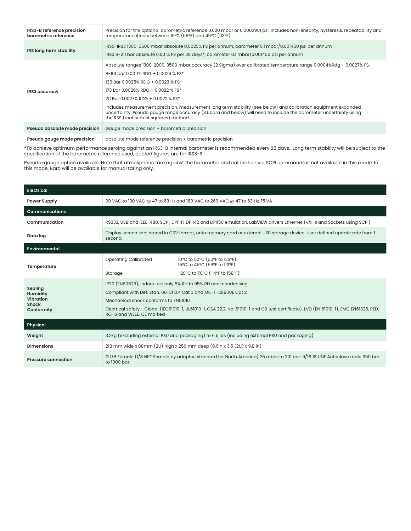| IRS3-B reference precision<br>barometric reference | Precision for the optional barometric reference 0.020 mbar or 0.0002901 psi. Includes non-linearity, hysteresis, repeatability and<br>temperature effects between 15°C (59°F) and 45°C (113°F)                                                                                                                                                                                                                                                                                                                                                                |
|----------------------------------------------------|---------------------------------------------------------------------------------------------------------------------------------------------------------------------------------------------------------------------------------------------------------------------------------------------------------------------------------------------------------------------------------------------------------------------------------------------------------------------------------------------------------------------------------------------------------------|
| IRS long term stability                            | IRS0-IRS3 1300-3500 mbar absolute 0.0025% FS per annum, barometer 0.1 mbar/0.001450 psi per annum<br>IRS3 8-211 bar absolute 0.001% FS per 28 days*, barometer 0.1 mbar/0.001450 psi per annum                                                                                                                                                                                                                                                                                                                                                                |
| IRS3 accuracy                                      | Absolute ranges 1300, 2000, 3500 mbar accuracy (2 Sigma) over calibrated temperature range 0.0004%Rdg + 0.0027% FS.<br>8-101 bar 0.0011% RDG + 0.0026 % FS*<br>136 Bar 0.0025% RDG + 0.0023 % FS*<br>173 Bar 0.0026% RDG + 0.0022 % FS*<br>211 Bar 0.0027% RDG + 0.0022 % FS*<br>Includes measurement precision, measurement long term stability (see below) and calibration equipment expanded<br>uncertainty. Pseudo gauge range accuracy (3.5bara and below) will need to include the barometer uncertainty using<br>the RSS (root sum of squares) method. |
| Pseudo absolute mode precision                     | Gauge mode precision + barometric precision                                                                                                                                                                                                                                                                                                                                                                                                                                                                                                                   |
| Pseudo gauge mode precision                        | absolute mode reference precision + barometric precision                                                                                                                                                                                                                                                                                                                                                                                                                                                                                                      |

\*To achieve optimum performance zeroing against an IRS3-B internal barometer is recommended every 28 days. Long term stability will be subject to the specification of the barometric reference used, quoted figures are for IRS3-B.

Pseudo-gauge option available .Note that atmospheric tare against the barometer and calibration via SCPI commands is not available in this mode. In this mode, Baro will be available for manual taring only.

| <b>Electrical</b>                                              |                                                                                                                                                                                                                                                                                                                                                   |                                                                                                                               |  |
|----------------------------------------------------------------|---------------------------------------------------------------------------------------------------------------------------------------------------------------------------------------------------------------------------------------------------------------------------------------------------------------------------------------------------|-------------------------------------------------------------------------------------------------------------------------------|--|
| <b>Power Supply</b>                                            | 90 VAC to 130 VAC @ 47 to 63 Hz and 180 VAC to 260 VAC @ 47 to 63 Hz. 15 VA                                                                                                                                                                                                                                                                       |                                                                                                                               |  |
| <b>Communications</b>                                          |                                                                                                                                                                                                                                                                                                                                                   |                                                                                                                               |  |
| Communication                                                  |                                                                                                                                                                                                                                                                                                                                                   | RS232, USB and IEEE-488, SCPI, DPI141, DPI142 and DPI150 emulation. LabVIEW drivers Ethernet (VXI-II and Sockets using SCPI). |  |
| Data log                                                       | Display screen shot stored in CSV format, onto memory card or external USB storage device. User defined update rate from 1<br>second.                                                                                                                                                                                                             |                                                                                                                               |  |
| <b>Environmental</b>                                           |                                                                                                                                                                                                                                                                                                                                                   |                                                                                                                               |  |
| Temperature                                                    | <b>Operating Calibrated</b>                                                                                                                                                                                                                                                                                                                       | 10°C to 50°C (50°F to 122°F)<br>15°C to 45°C (59°F to 113°F)                                                                  |  |
|                                                                | Storage                                                                                                                                                                                                                                                                                                                                           | $-20^{\circ}$ C to 70 $^{\circ}$ C ( $-4^{\circ}$ F to 158 $^{\circ}$ F)                                                      |  |
| Sealing<br>Humidity<br>Vibration<br><b>Shock</b><br>Conformity | IP20 (EN60529), indoor use only 5% RH to 95% RH non-condensing.<br>Compliant with Def. Stan. 66-31 8.4 Cat 3 and MIL-T-28800E Cat 2<br>Mechanical shock conforms to EN61010<br>Electrical safety - Global (IEC61010-1, UL61010-1, CSA 22.2, No. 61010-1 and CB test certificate), LVD (EN 61010-1). EMC EN61326, PED,<br>ROHS and WEEE, CE marked |                                                                                                                               |  |
| Physical                                                       |                                                                                                                                                                                                                                                                                                                                                   |                                                                                                                               |  |
| Weight                                                         | 3.2kg (excluding external PSU and packaging) to 6.5 lbs (including external PSU and packaging)                                                                                                                                                                                                                                                    |                                                                                                                               |  |
| <b>Dimensions</b>                                              | 218 mm wide x 88mm (2U) high x 250 mm deep (8.6in x 3.5 (2U) x 9.8 in)                                                                                                                                                                                                                                                                            |                                                                                                                               |  |
| <b>Pressure connection</b>                                     | G 1/8 Female (1/8 NPT Female by adaptor, standard for North America) 25 mbar to 210 bar. 9/16 18 UNF Autoclave male 350 bar<br>to 1000 bar.                                                                                                                                                                                                       |                                                                                                                               |  |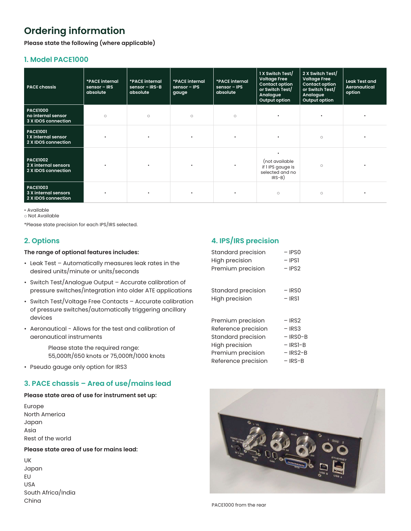# **Ordering information**

**Please state the following (where applicable)**

#### **1. Model PACE1000**

| <b>PACE chassis</b>                                            | *PACE internal<br>$sensor - IRS$<br>absolute | *PACE internal<br>sensor $-$ IRS-B<br>absolute | *PACE internal<br>$sensor - IPS$<br>gauge | *PACE internal<br>sensor - IPS<br>absolute | 1 X Switch Test/<br><b>Voltage Free</b><br><b>Contact option</b><br>or Switch Test/<br>Analogue<br>Output option | 2 X Switch Test/<br><b>Voltage Free</b><br><b>Contact option</b><br>or Switch Test/<br>Analogue<br>Output option | <b>Leak Test and</b><br>Aeronautical<br>option |
|----------------------------------------------------------------|----------------------------------------------|------------------------------------------------|-------------------------------------------|--------------------------------------------|------------------------------------------------------------------------------------------------------------------|------------------------------------------------------------------------------------------------------------------|------------------------------------------------|
| <b>PACE1000</b><br>no internal sensor<br>3 X IDOS connection   | $\circ$                                      | $\circ$                                        | $\circ$                                   | $\circ$                                    | $\bullet$                                                                                                        |                                                                                                                  |                                                |
| <b>PACE1001</b><br>1 X internal sensor<br>2 X IDOS connection  |                                              |                                                | $\bullet$                                 |                                            | $\bullet$                                                                                                        | $\circ$                                                                                                          |                                                |
| <b>PACE1002</b><br>2 X internal sensors<br>2 X IDOS connection |                                              |                                                | $\bullet$                                 |                                            | $\bullet$<br>(not available<br>if I IPS gauge is<br>selected and no<br>$IRS-B)$                                  | $\circ$                                                                                                          |                                                |
| <b>PACE1003</b><br>3 X internal sensors<br>2 X IDOS connection |                                              |                                                | $\bullet$                                 |                                            | $\circ$                                                                                                          | $\circ$                                                                                                          |                                                |

• Available

o Not Available

\*Please state precision for each IPS/IRS selected.

#### **2. Options**

#### **The range of optional features includes:**

- Leak Test Automatically measures leak rates in the desired units/minute or units/seconds
- Switch Test/Analogue Output Accurate calibration of pressure switches/integration into older ATE applications
- Switch Test/Voltage Free Contacts Accurate calibration of pressure switches/automatically triggering ancillary devices
- Aeronautical Allows for the test and calibration of aeronautical instruments

 Please state the required range: 55,000ft/650 knots or 75,000ft/1000 knots

• Pseudo gauge only option for IRS3

#### **3. PACE chassis – Area of use/mains lead**

#### **Please state area of use for instrument set up:**

Europe North America Japan Asia Rest of the world

#### **Please state area of use for mains lead:**

UK Japan EU USA South Africa/India China

#### **4. IPS/IRS precision**

| Standard precision<br><b>High precision</b> | $-$ IPSO<br>– IPSI |
|---------------------------------------------|--------------------|
| Premium precision                           | $-$ IPS2           |
|                                             |                    |
| Standard precision                          | – IRSO             |
| <b>High precision</b>                       | – IRSI             |
|                                             |                    |
| Premium precision                           | – IRS2             |
| Reference precision                         | – IRS3             |
| Standard precision                          | $-$ IRSO-B         |
| High precision                              | - IRSI-B           |
| Premium precision                           | $-$ IRS2-B         |
| Reference precision                         | – IRS-B            |



PACE1000 from the rear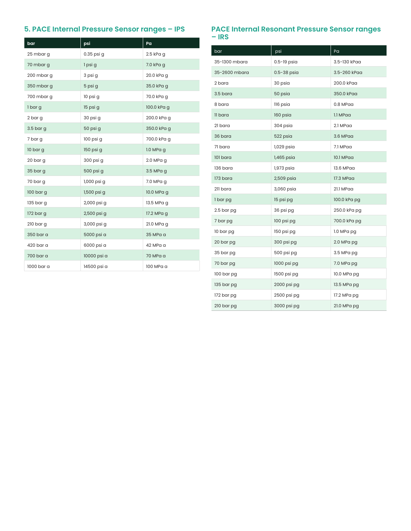### **5. PACE Internal Pressure Sensor ranges - IPS**

| bar         | psi         | Pa          |
|-------------|-------------|-------------|
| 25 mbar g   | 0.35 psi g  | 2.5 kPa g   |
| 70 mbar g   | 1 psi g     | 7.0 kPa g   |
| 200 mbar g  | 3 psi g     | 20.0 kPa g  |
| 350 mbar g  | 5 psi g     | 35.0 kPa g  |
| 700 mbar g  | 10 psi g    | 70.0 kPa g  |
| 1 bar g     | 15 psi g    | 100.0 kPa g |
| 2 bar g     | 30 psi g    | 200.0 kPa g |
| $3.5$ bar g | 50 psi g    | 350.0 kPa g |
| 7 bar g     | 100 psi g   | 700.0 kPa g |
| 10 bar g    | 150 psi g   | $1.0$ MPa g |
| 20 bar g    | 300 psi g   | 2.0 MPa g   |
| 35 bar g    | 500 psi g   | 3.5 MPa g   |
| 70 bar g    | 1,000 psi g | 7.0 MPa g   |
| 100 bar g   | 1,500 psi g | 10.0 MPa g  |
| 135 bar g   | 2,000 psi g | 13.5 MPa g  |
| 172 bar g   | 2,500 psi g | 17.2 MPa g  |
| $210$ bar g | 3,000 psi g | 21.0 MPa g  |
| 350 bar a   | 5000 psi a  | 35 MPa a    |
| 420 bar a   | 6000 psi a  | 42 MPa a    |
| 700 bar a   | 10000 psi a | 70 MPa a    |
| 1000 bar a  | 14500 psi a | 100 MPa a   |

# PACE Internal Resonant Pressure Sensor ranges<br>– IRS

| bar           | psi         | Pa           |
|---------------|-------------|--------------|
| 35-1300 mbara | 0.5-19 psia | 3.5-130 kPaa |
| 35-2600 mbara | 0.5-38 psia | 3.5-260 kPaa |
| 2 bara        | 30 psia     | 200.0 kPaa   |
| 3.5 bara      | 50 psia     | 350.0 kPaa   |
| 8 bara        | 116 psia    | 0.8 MPaa     |
| 11 bara       | 160 psia    | 1.1 MPaa     |
| 21 bara       | 304 psia    | 2.1 MPaa     |
| 36 bara       | 522 psia    | 3.6 MPaa     |
| 71 bara       | 1,029 psia  | 7.1 MPaa     |
| 101 bara      | 1,465 psia  | 10.1 MPaa    |
| 136 bara      | 1,973 psia  | 13.6 MPaa    |
| 173 bara      | 2,509 psia  | 17.3 MPaa    |
| 211 bara      | 3,060 psia  | 21.1 MPaa    |
| 1 bar pg      | 15 psi pg   | 100.0 kPa pg |
| 2.5 bar pg    | 36 psi pg   | 250.0 kPa pg |
| 7 bar pg      | 100 psi pg  | 700.0 kPa pg |
| 10 bar pg     | 150 psi pg  | 1.0 MPa pg   |
| 20 bar pg     | 300 psi pg  | 2.0 MPa pg   |
| 35 bar pg     | 500 psi pg  | 3.5 MPa pg   |
| 70 bar pg     | 1000 psi pg | 7.0 MPa pg   |
| 100 bar pg    | 1500 psi pg | 10.0 MPa pg  |
| 135 bar pg    | 2000 psi pg | 13.5 MPa pg  |
| 172 bar pg    | 2500 psi pg | 17.2 MPa pg  |
| 210 bar pg    | 3000 psi pg | 21.0 MPa pg  |
|               |             |              |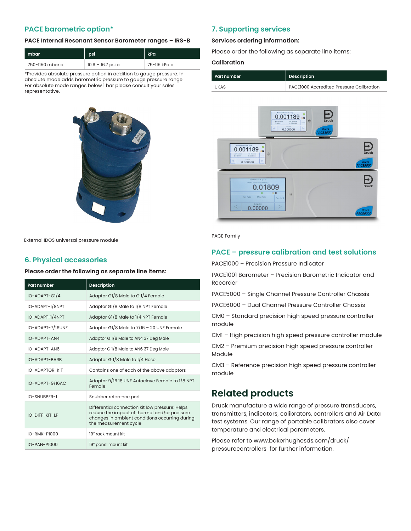#### **PACE barometric option\***

#### **PACE Internal Resonant Sensor Barometer ranges – IRS-B**

| mbar            | psi               | kPa          |
|-----------------|-------------------|--------------|
| 750-1150 mbar a | 10.9 – 16.7 psi a | 75-115 kPa a |

\*Provides absolute pressure option in addition to gauge pressure. In absolute mode adds barometric pressure to gauge pressure range. For absolute mode ranges below 1 bar please consult your sales representative.



External IDOS universal pressure module

#### **6. Physical accessories**

#### **Please order the following as separate line items:**

| <b>Part number</b> | <b>Description</b>                                                                                                                                                         |
|--------------------|----------------------------------------------------------------------------------------------------------------------------------------------------------------------------|
| IO-ADAPT-G1/4      | Adaptor G1/8 Male to G1/4 Female                                                                                                                                           |
| IO-ADAPT-1/8NPT    | Adaptor G1/8 Male to 1/8 NPT Female                                                                                                                                        |
| IO-ADAPT-1/4NPT    | Adaptor G1/8 Male to 1/4 NPT Female                                                                                                                                        |
| IO-ADAPT-7/16UNF   | Adaptor G1/8 Male to $7/16 - 20$ UNF Female                                                                                                                                |
| IO-ADAPT-AN4       | Adaptor G 1/8 Male to AN4 37 Deg Male                                                                                                                                      |
| IO-ADAPT-AN6       | Adaptor G 1/8 Male to AN6 37 Deg Male                                                                                                                                      |
| IO-ADAPT-BARB      | Adaptor G 1/8 Male to 1/4 Hose                                                                                                                                             |
| IO-ADAPTOR-KIT     | Contains one of each of the above adaptors                                                                                                                                 |
| IO-ADAPT-9/16AC    | Adaptor 9/16 18 UNF Autoclave Female to 1/8 NPT<br>Female                                                                                                                  |
| IO-SNUBBER-1       | Snubber reference port                                                                                                                                                     |
| IO-DIFF-KIT-LP     | Differential connection kit low pressure: Helps<br>reduce the impact of thermal and/or pressure<br>changes in ambient conditions occurring during<br>the measurement cycle |
| IO-RMK-P1000       | 19" rack mount kit                                                                                                                                                         |
| IO-PAN-P1000       | 19" panel mount kit                                                                                                                                                        |

#### **7. Supporting services**

#### **Services ordering information:**

Please order the following as separate line items:

#### **Calibration**

| Part number | Description                              |
|-------------|------------------------------------------|
| UKAS        | PACE1000 Accredited Pressure Calibration |



PACE Family

#### **PACE – pressure calibration and test solutions**

PACE1000 – Precision Pressure Indicator

PACE1001 Barometer – Precision Barometric Indicator and Recorder

PACE5000 – Single Channel Pressure Controller Chassis

PACE6000 – Dual Channel Pressure Controller Chassis

CM0 – Standard precision high speed pressure controller module

CM1 – High precision high speed pressure controller module

CM2 – Premium precision high speed pressure controller Module

CM3 – Reference precision high speed pressure controller module

### **Related products**

Druck manufacture a wide range of pressure transducers, transmitters, indicators, calibrators, controllers and Air Data test systems. Our range of portable calibrators also cover temperature and electrical parameters.

Please refer to www.bakerhughesds.com/druck/ pressurecontrollers for further information.